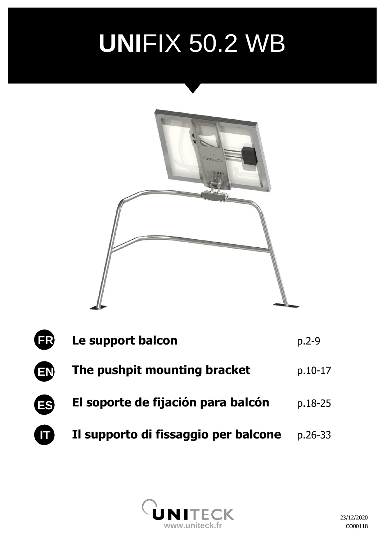# **NEW FOOL UNI**FIX 50.2 WB



| <b>ER</b> | Le support balcon                    | $p.2-9$   |
|-----------|--------------------------------------|-----------|
| <b>EN</b> | The pushpit mounting bracket         | p.10-17   |
| <b>ES</b> | El soporte de fijación para balcón   | p.18-25   |
| Œ         | Il supporto di fissaggio per balcone | $p.26-33$ |

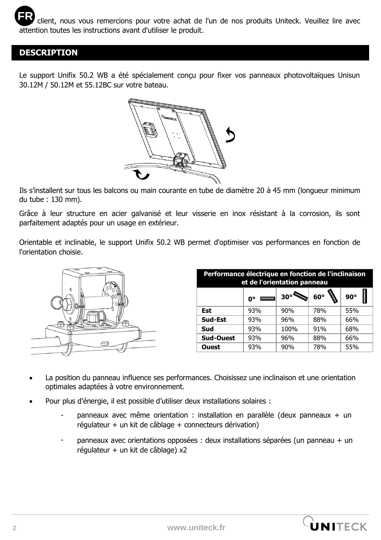### **DESCRIPTION**

Le support Unifix 50.2 WB a été spécialement conçu pour fixer vos panneaux photovoltaïques Unisun 30.12M / 50.12M et 55.12BC sur votre bateau.



Ils s'installent sur tous les balcons ou main courante en tube de diamètre 20 à 45 mm (longueur minimum du tube : 130 mm).

Grâce à leur structure en acier galvanisé et leur visserie en inox résistant à la corrosion, ils sont parfaitement adaptés pour un usage en extérieur.

Orientable et inclinable, le support Unifix 50.2 WB permet d'optimiser vos performances en fonction de l'orientation choisie.



| Performance électrique en fonction de l'inclinaison<br>et de l'orientation panneau |                               |            |     |            |  |
|------------------------------------------------------------------------------------|-------------------------------|------------|-----|------------|--|
|                                                                                    | $\mathbf{0}^{\circ}$ $\equiv$ | $30^\circ$ | 60° | $90^\circ$ |  |
| Est                                                                                | 93%                           | 90%        | 78% | 55%        |  |
| Sud-Est                                                                            | 93%                           | 96%        | 88% | 66%        |  |
| Sud                                                                                | 93%                           | 100%       | 91% | 68%        |  |
| Sud-Ouest                                                                          | 93%                           | 96%        | 88% | 66%        |  |
| <b>Ouest</b>                                                                       | 93%                           | 90%        | 78% | 55%        |  |

- La position du panneau influence ses performances. Choisissez une inclinaison et une orientation optimales adaptées à votre environnement.
- Pour plus d'énergie, il est possible d'utiliser deux installations solaires :
	- panneaux avec même orientation : installation en parallèle (deux panneaux + un régulateur + un kit de câblage + connecteurs dérivation)
	- panneaux avec orientations opposées : deux installations séparées (un panneau + un  $r$ égulateur + un kit de câblage) x2

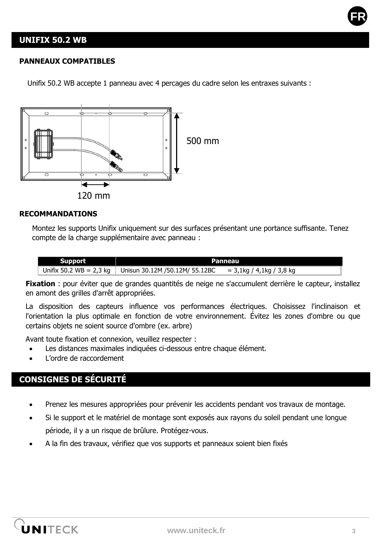

### **UNIFIX 50.2 WB**

#### **PANNEAUX COMPATIBLES**

Unifix 50.2 WB accepte 1 panneau avec 4 percages du cadre selon les entraxes suivants :



#### **RECOMMANDATIONS**

Montez les supports Unifix uniquement sur des surfaces présentant une portance suffisante. Tenez compte de la charge supplémentaire avec panneau :

| <b>Support</b>            | Panneau                        |                          |  |
|---------------------------|--------------------------------|--------------------------|--|
| Unifix 50.2 $WB = 2.3$ kg | Unisun 30.12M /50.12M/ 55.12BC | = 3,1kg / 4,1kg / 3,8 kg |  |

**Fixation** : pour éviter que de grandes quantités de neige ne s'accumulent derrière le capteur, installez en amont des grilles d'arrêt appropriées.

La disposition des capteurs influence vos performances électriques. Choisissez l'inclinaison et l'orientation la plus optimale en fonction de votre environnement. Évitez les zones d'ombre ou que certains objets ne soient source d'ombre (ex. arbre)

Avant toute fixation et connexion, veuillez respecter :

- Les distances maximales indiquées ci-dessous entre chaque élément.
- L'ordre de raccordement

# **CONSIGNES DE SÉCURITÉ**

- Prenez les mesures appropriées pour prévenir les accidents pendant vos travaux de montage.
- Si le support et le matériel de montage sont exposés aux rayons du soleil pendant une longue période, il y a un risque de brûlure. Protégez-vous.
- A la fin des travaux, vérifiez que vos supports et panneaux soient bien fixés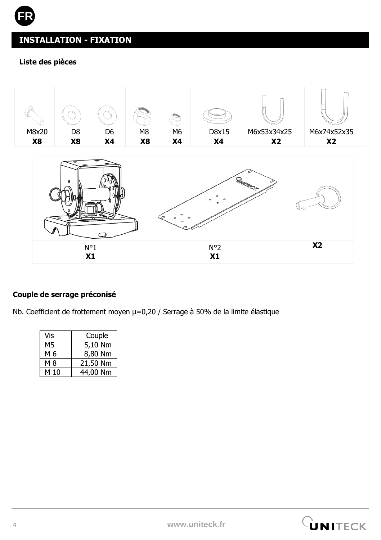# **INSTALLATION - FIXATION**

### **Liste des pièces**

**FR**





### **Couple de serrage préconisé**

Nb. Coefficient de frottement moyen µ=0,20 / Serrage à 50% de la limite élastique

| Vis  | Couple   |  |
|------|----------|--|
| М5   | 5,10 Nm  |  |
| M 6  | 8,80 Nm  |  |
| M 8  | 21,50 Nm |  |
| M 10 | 44,00 Nm |  |

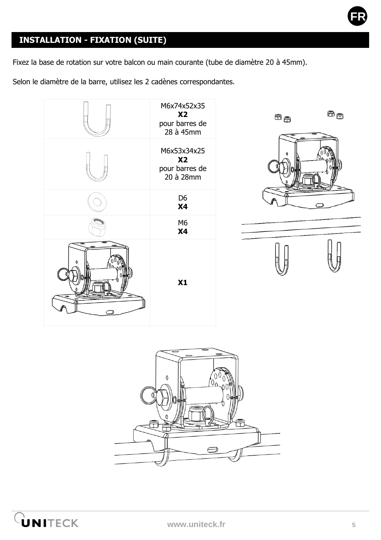

# **INSTALLATION - FIXATION (SUITE)**

Fixez la base de rotation sur votre balcon ou main courante (tube de diamètre 20 à 45mm).

Selon le diamètre de la barre, utilisez les 2 cadènes correspondantes.







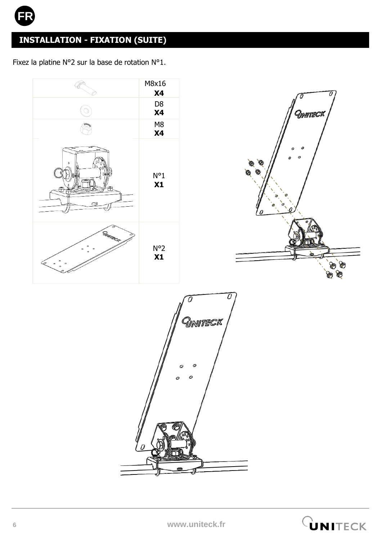

# **INSTALLATION - FIXATION (SUITE)**

Fixez la platine N°2 sur la base de rotation N°1.



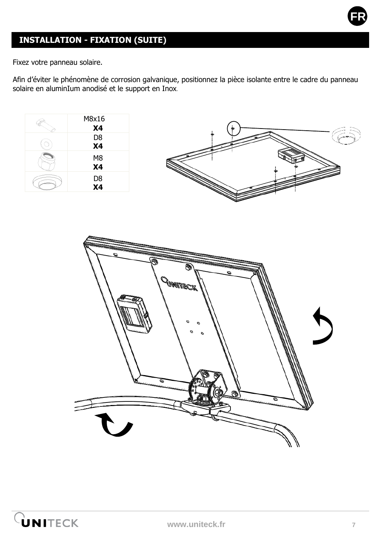

# **INSTALLATION - FIXATION (SUITE)**

Fixez votre panneau solaire.

Afin d'éviter le phénomène de corrosion galvanique, positionnez la pièce isolante entre le cadre du panneau solaire en aluminIum anodisé et le support en Inox**.**



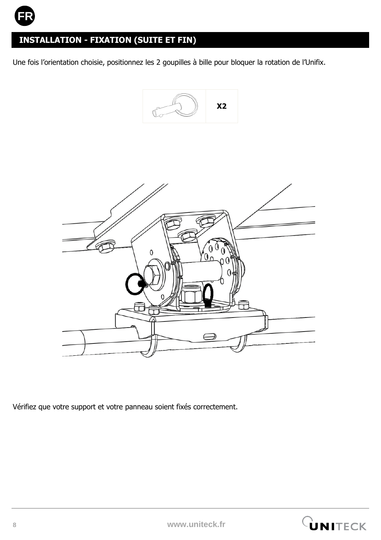

# **INSTALLATION - FIXATION (SUITE ET FIN)**

Une fois l'orientation choisie, positionnez les 2 goupilles à bille pour bloquer la rotation de l'Unifix.





Vérifiez que votre support et votre panneau soient fixés correctement.

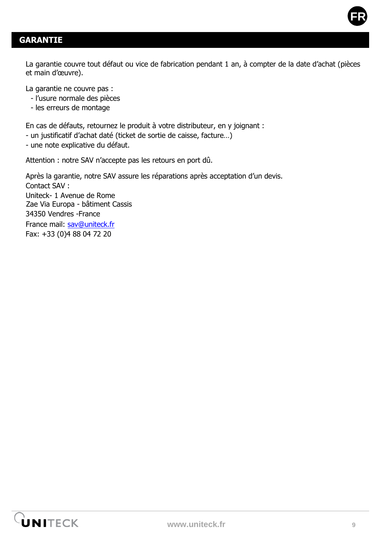

La garantie couvre tout défaut ou vice de fabrication pendant 1 an, à compter de la date d'achat (pièces et main d'œuvre).

La garantie ne couvre pas :

- l'usure normale des pièces
- les erreurs de montage

En cas de défauts, retournez le produit à votre distributeur, en y joignant :

- un justificatif d'achat daté (ticket de sortie de caisse, facture…)
- une note explicative du défaut.

Attention : notre SAV n'accepte pas les retours en port dû.

Après la garantie, notre SAV assure les réparations après acceptation d'un devis. Contact SAV · Uniteck- 1 Avenue de Rome Zae Via Europa - bâtiment Cassis 34350 Vendres -France France mail: [sav@uniteck.fr](mailto:sav@uniteck.fr) Fax: +33 (0)4 88 04 72 20

**FR**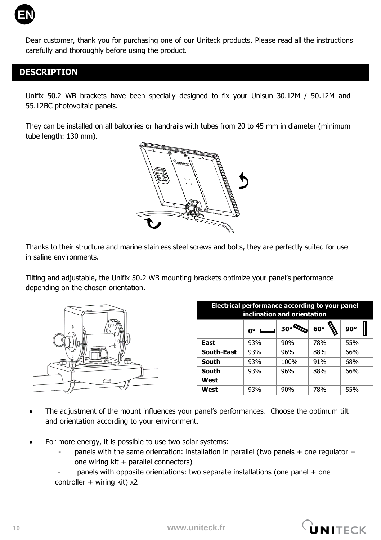

Dear customer, thank you for purchasing one of our Uniteck products. Please read all the instructions carefully and thoroughly before using the product.

### **DESCRIPTION**

Unifix 50.2 WB brackets have been specially designed to fix your Unisun 30.12M / 50.12M and 55.12BC photovoltaic panels.

They can be installed on all balconies or handrails with tubes from 20 to 45 mm in diameter (minimum tube length: 130 mm).



Thanks to their structure and marine stainless steel screws and bolts, they are perfectly suited for use in saline environments.

Tilting and adjustable, the Unifix 50.2 WB mounting brackets optimize your panel's performance depending on the chosen orientation.



| Electrical performance according to your panel<br>inclination and orientation |     |            |            |            |  |
|-------------------------------------------------------------------------------|-----|------------|------------|------------|--|
|                                                                               | ŋ۰  | $30^\circ$ | $60^\circ$ | $90^\circ$ |  |
| East                                                                          | 93% | 90%        | 78%        | 55%        |  |
| <b>South-East</b>                                                             | 93% | 96%        | 88%        | 66%        |  |
| South                                                                         | 93% | 100%       | 91%        | 68%        |  |
| South                                                                         | 93% | 96%        | 88%        | 66%        |  |
| West                                                                          |     |            |            |            |  |
| West                                                                          | 93% | 90%        | 78%        | 55%        |  |

- The adjustment of the mount influences your panel's performances. Choose the optimum tilt and orientation according to your environment.
- For more energy, it is possible to use two solar systems:
	- panels with the same orientation: installation in parallel (two panels  $+$  one regulator  $+$ one wiring kit + parallel connectors)
	- panels with opposite orientations: two separate installations (one panel  $+$  one controller  $+$  wiring kit)  $x2$

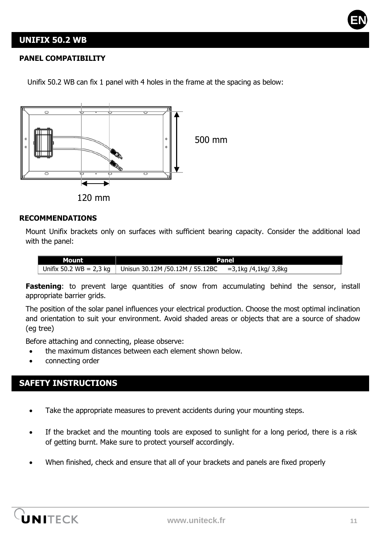

### **UNIFIX 50.2 WB**

#### **PANEL COMPATIBILITY**

Unifix 50.2 WB can fix 1 panel with 4 holes in the frame at the spacing as below:



### **RECOMMENDATIONS**

Mount Unifix brackets only on surfaces with sufficient bearing capacity. Consider the additional load with the panel:

| Mount | Panel                                                      |                      |  |
|-------|------------------------------------------------------------|----------------------|--|
|       | Unifix 50.2 WB = 2,3 kg   Unisun 30.12M / 50.12M / 55.12BC | =3,1kg /4,1kg/ 3,8kg |  |

Fastening: to prevent large quantities of snow from accumulating behind the sensor, install appropriate barrier grids.

The position of the solar panel influences your electrical production. Choose the most optimal inclination and orientation to suit your environment. Avoid shaded areas or objects that are a source of shadow (eg tree)

Before attaching and connecting, please observe:

- the maximum distances between each element shown below.
- connecting order

### **SAFETY INSTRUCTIONS**

- Take the appropriate measures to prevent accidents during your mounting steps.
- If the bracket and the mounting tools are exposed to sunlight for a long period, there is a risk of getting burnt. Make sure to protect yourself accordingly.
- When finished, check and ensure that all of your brackets and panels are fixed properly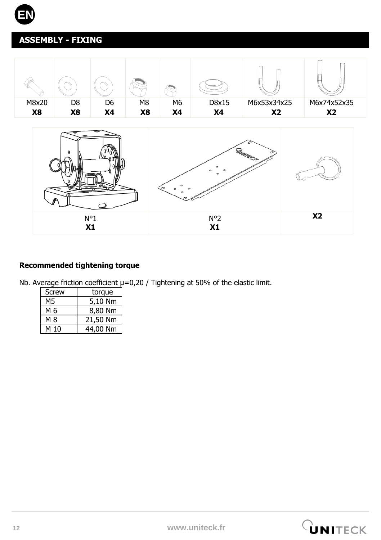

# **ASSEMBLY - FIXING**



### **Recommended tightening torque**

Nb. Average friction coefficient  $\mu$ =0,20 / Tightening at 50% of the elastic limit.

| Screw | torque   |
|-------|----------|
| М5    | 5,10 Nm  |
| M 6   | 8,80 Nm  |
| M 8   | 21,50 Nm |
| M 10  | 44,00 Nm |

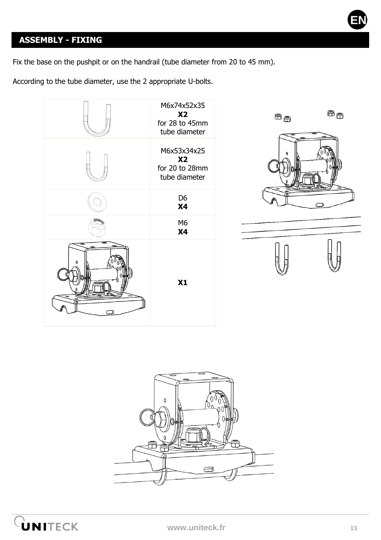# **ASSEMBLY - FIXING**

Fix the base on the pushpit or on the handrail (tube diameter from 20 to 45 mm).

According to the tube diameter, use the 2 appropriate U-bolts.





**EN**



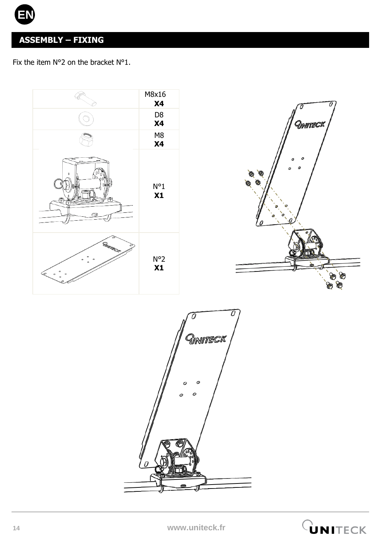

# **ASSEMBLY – FIXING**

Fix the item N°2 on the bracket N°1.





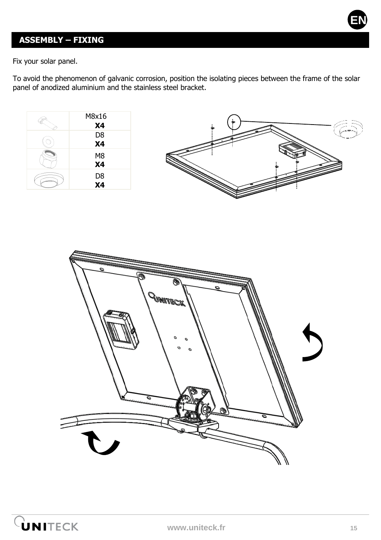

# **ASSEMBLY – FIXING**

Fix your solar panel.

To avoid the phenomenon of galvanic corrosion, position the isolating pieces between the frame of the solar panel of anodized aluminium and the stainless steel bracket.





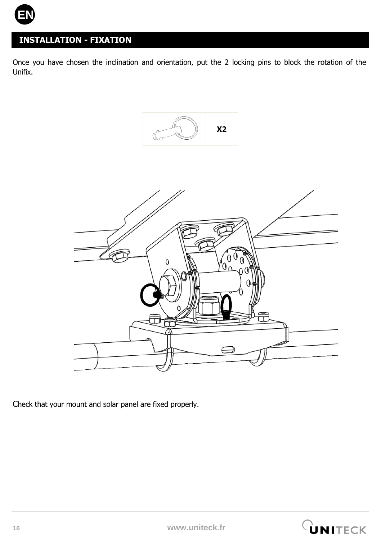

# **INSTALLATION - FIXATION**

Once you have chosen the inclination and orientation, put the 2 locking pins to block the rotation of the Unifix.





Check that your mount and solar panel are fixed properly.

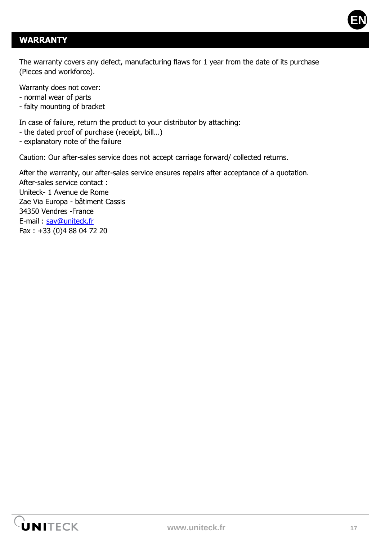

### **WARRANTY**

The warranty covers any defect, manufacturing flaws for 1 year from the date of its purchase (Pieces and workforce).

Warranty does not cover:

- normal wear of parts
- falty mounting of bracket

In case of failure, return the product to your distributor by attaching:

- the dated proof of purchase (receipt, bill…)
- explanatory note of the failure

Caution: Our after-sales service does not accept carriage forward/ collected returns.

After the warranty, our after-sales service ensures repairs after acceptance of a quotation. After-sales service contact : Uniteck- 1 Avenue de Rome Zae Via Europa - bâtiment Cassis 34350 Vendres -France E-mail : [sav@uniteck.fr](mailto:sav@uniteck.fr) Fax : +33 (0)4 88 04 72 20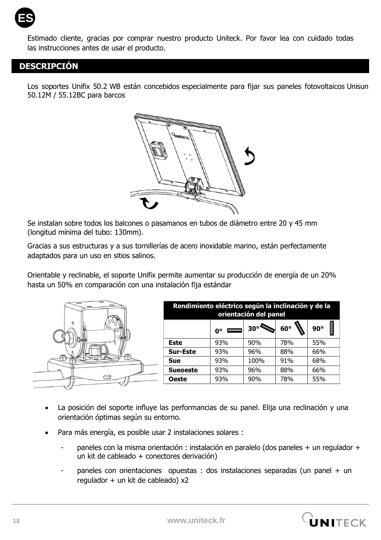

Estimado cliente, gracias por comprar nuestro producto Uniteck. Por favor lea con cuidado todas las instrucciones antes de usar el producto.

### **DESCRIPCIÓN**

Los soportes Unifix 50.2 WB están concebidos especialmente para fijar sus paneles fotovoltaicos Unisun 50.12M / 55.12BC para barcos



Se instalan sobre todos los balcones o pasamanos en tubos de diámetro entre 20 y 45 mm (longitud mínima del tubo: 130mm).

Gracias a sus estructuras y a sus tornillerías de acero inoxidable marino, están perfectamente adaptados para un uso en sitios salinos.

Orientable y reclinable, el soporte Unifix permite aumentar su producción de energía de un 20% hasta un 50% en comparación con una instalación fija estándar

|                 | O۰  | 30°  | 60° | $90^\circ$                                                                  |
|-----------------|-----|------|-----|-----------------------------------------------------------------------------|
| <b>Este</b>     | 93% | 90%  | 78% | 55%                                                                         |
| Sur-Este        | 93% | 96%  | 88% | 66%                                                                         |
| Sue             | 93% | 100% | 91% | 68%                                                                         |
| <b>Sueoeste</b> | 93% | 96%  | 88% | 66%                                                                         |
| Oeste           | 93% | 90%  | 78% | 55%                                                                         |
|                 |     |      |     | Rendimiento eléctrico según la inclinación y de la<br>orientación del panel |

- La posición del soporte influve las performancias de su panel. Elija una reclinación y una orientación óptimas según su entorno.
- Para más energía, es posible usar 2 instalaciones solares :
	- paneles con la misma orientación : instalación en paralelo (dos paneles + un regulador + un kit de cableado + conectores derivación)
	- paneles con orientaciones opuestas : dos instalaciones separadas (un panel + un regulador + un kit de cableado) x2

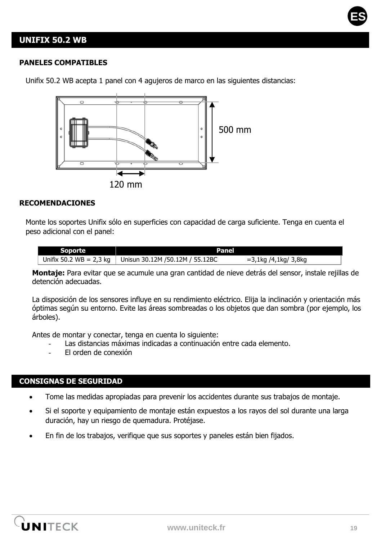

### **UNIFIX 50.2 WB**

#### **PANELES COMPATIBLES**

500 mm 120 mm

Unifix 50.2 WB acepta 1 panel con 4 agujeros de marco en las siguientes distancias:

#### **RECOMENDACIONES**

Monte los soportes Unifix sólo en superficies con capacidad de carga suficiente. Tenga en cuenta el peso adicional con el panel:

| Soporte | Panel                                                      |                      |
|---------|------------------------------------------------------------|----------------------|
|         | Unifix 50.2 WB = 2,3 kg   Unisun 30.12M / 50.12M / 55.12BC | =3,1kg /4,1kg/ 3,8kg |

**Montaje:** Para evitar que se acumule una gran cantidad de nieve detrás del sensor, instale rejillas de detención adecuadas.

La disposición de los sensores influye en su rendimiento eléctrico. Elija la inclinación y orientación más óptimas según su entorno. Evite las áreas sombreadas o los objetos que dan sombra (por ejemplo, los árboles).

Antes de montar y conectar, tenga en cuenta lo siguiente:

- Las distancias máximas indicadas a continuación entre cada elemento.
- El orden de conexión

#### **CONSIGNAS DE SEGURIDAD**

- Tome las medidas apropiadas para prevenir los accidentes durante sus trabajos de montaje.
- Si el soporte y equipamiento de montaje están expuestos a los rayos del sol durante una larga duración, hay un riesgo de quemadura. Protéjase.
- En fin de los trabajos, verifique que sus soportes y paneles están bien fijados.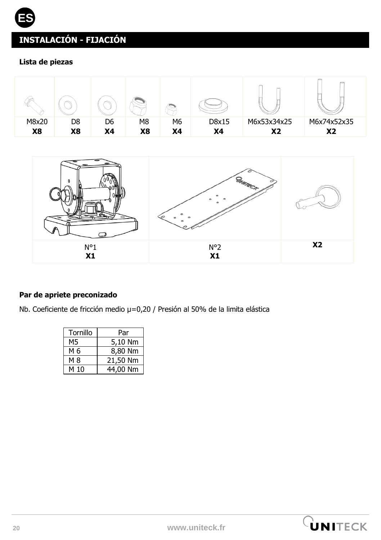### **Lista de piezas**

**ES**





### **Par de apriete preconizado**

Nb. Coeficiente de fricción medio µ=0,20 / Presión al 50% de la limita elástica

| Tornillo | Par      |  |
|----------|----------|--|
| M5       | 5,10 Nm  |  |
| M 6      | 8,80 Nm  |  |
| M 8      | 21,50 Nm |  |
| M 10     | 44,00 Nm |  |

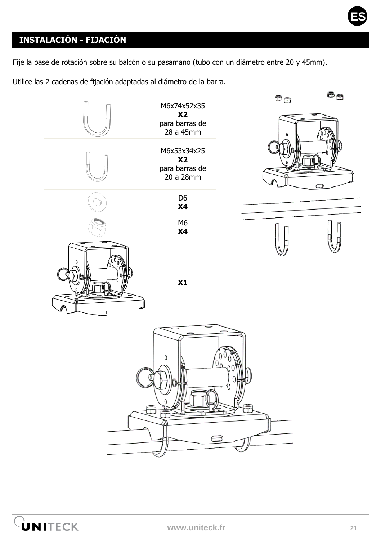

Fije la base de rotación sobre su balcón o su pasamano (tubo con un diámetro entre 20 y 45mm).

Utilice las 2 cadenas de fijación adaptadas al diámetro de la barra.







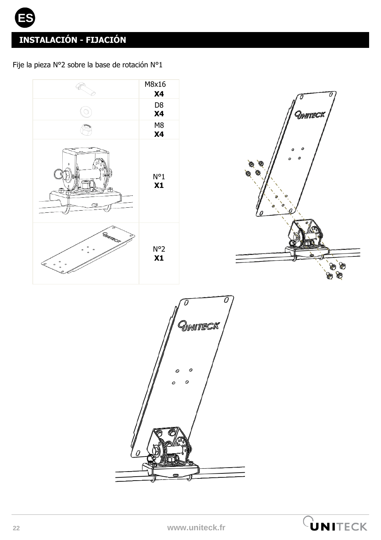**ES**

Fije la pieza N°2 sobre la base de rotación N°1





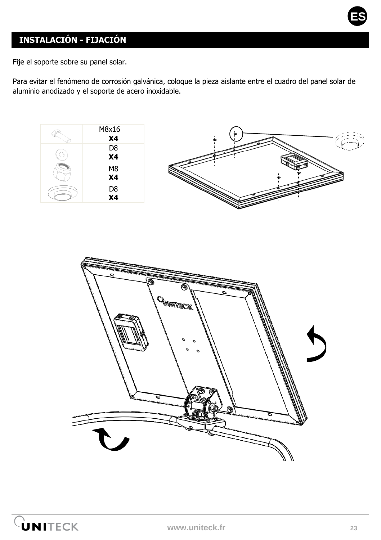

Fije el soporte sobre su panel solar.

Para evitar el fenómeno de corrosión galvánica, coloque la pieza aislante entre el cuadro del panel solar de aluminio anodizado y el soporte de acero inoxidable.





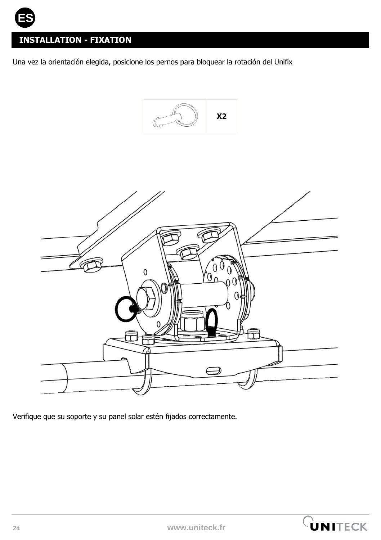

# **INSTALLATION - FIXATION**

Una vez la orientación elegida, posicione los pernos para bloquear la rotación del Unifix





Verifique que su soporte y su panel solar estén fijados correctamente.

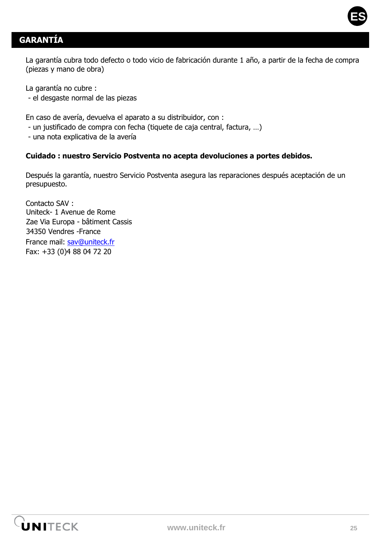

# **GARANTÍA**

La garantía cubra todo defecto o todo vicio de fabricación durante 1 año, a partir de la fecha de compra (piezas y mano de obra)

La garantía no cubre :

- el desgaste normal de las piezas

En caso de avería, devuelva el aparato a su distribuidor, con :

- un justificado de compra con fecha (tiquete de caja central, factura, …)
- una nota explicativa de la avería

#### **Cuidado : nuestro Servicio Postventa no acepta devoluciones a portes debidos.**

Después la garantía, nuestro Servicio Postventa asegura las reparaciones después aceptación de un presupuesto.

Contacto SAV : Uniteck- 1 Avenue de Rome Zae Via Europa - bâtiment Cassis 34350 Vendres -France France mail: [sav@uniteck.fr](mailto:sav@uniteck.fr) Fax: +33 (0)4 88 04 72 20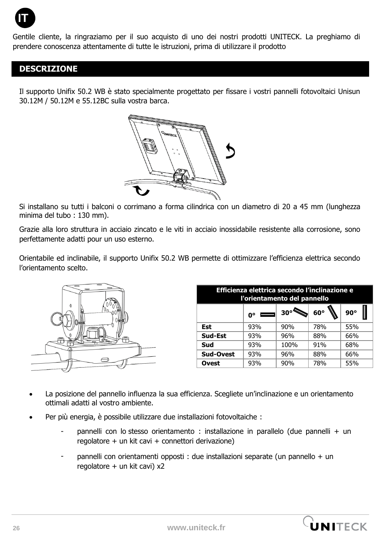

Gentile cliente, la ringraziamo per il suo acquisto di uno dei nostri prodotti UNITECK. La preghiamo di prendere conoscenza attentamente di tutte le istruzioni, prima di utilizzare il prodotto

### **DESCRIZIONE**

Il supporto Unifix 50.2 WB è stato specialmente progettato per fissare i vostri pannelli fotovoltaici Unisun 30.12M / 50.12M e 55.12BC sulla vostra barca.



Si installano su tutti i balconi o corrimano a forma cilindrica con un diametro di 20 a 45 mm (lunghezza minima del tubo : 130 mm).

Grazie alla loro struttura in acciaio zincato e le viti in acciaio inossidabile resistente alla corrosione, sono perfettamente adatti pour un uso esterno.

Orientabile ed inclinabile, il supporto Unifix 50.2 WB permette di ottimizzare l'efficienza elettrica secondo l'orientamento scelto.



| Efficienza elettrica secondo l'inclinazione e<br>l'orientamento del pannello |                |      |            |            |  |
|------------------------------------------------------------------------------|----------------|------|------------|------------|--|
|                                                                              | $\equiv$<br>n۰ | 30°  | $60^\circ$ | $90^\circ$ |  |
| Est                                                                          | 93%            | 90%  | 78%        | 55%        |  |
| Sud-Est                                                                      | 93%            | 96%  | 88%        | 66%        |  |
| Sud                                                                          | 93%            | 100% | 91%        | 68%        |  |
| Sud-Ovest                                                                    | 93%            | 96%  | 88%        | 66%        |  |
| Ovest                                                                        | 93%            | 90%  | 78%        | 55%        |  |

- La posizione del pannello influenza la sua efficienza. Scegliete un'inclinazione e un orientamento ottimali adatti al vostro ambiente.
- Per più energia, è possibile utilizzare due installazioni fotovoltaiche :
	- pannelli con lo stesso orientamento : installazione in parallelo (due pannelli + un regolatore + un kit cavi + connettori derivazione)
	- pannelli con orientamenti opposti : due installazioni separate (un pannello + un regolatore + un kit cavi) x2

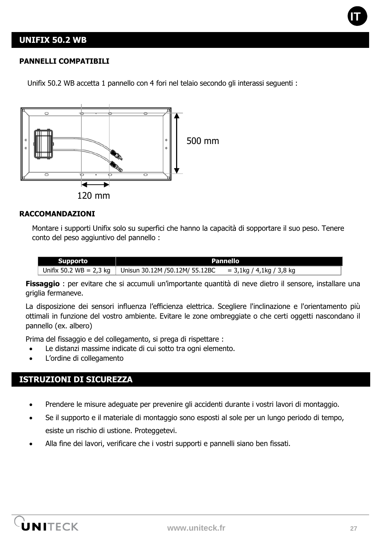### **UNIFIX 50.2 WB**

#### **PANNELLI COMPATIBILI**

Unifix 50.2 WB accetta 1 pannello con 4 fori nel telaio secondo gli interassi seguenti :



#### **RACCOMANDAZIONI**

Montare i supporti Unifix solo su superfici che hanno la capacità di sopportare il suo peso. Tenere conto del peso aggiuntivo del pannello :

| <b>Supporto</b>           | Pannello                       |                          |  |
|---------------------------|--------------------------------|--------------------------|--|
| Unifix 50.2 $WB = 2.3$ kg | Unisun 30.12M /50.12M/ 55.12BC | = 3,1kg / 4,1kg / 3,8 kg |  |

**Fissaggio** : per evitare che si accumuli un'importante quantità di neve dietro il sensore, installare una griglia fermaneve.

La disposizione dei sensori influenza l'efficienza elettrica. Scegliere l'inclinazione e l'orientamento più ottimali in funzione del vostro ambiente. Evitare le zone ombreggiate o che certi oggetti nascondano il pannello (ex. albero)

Prima del fissaggio e del collegamento, si prega di rispettare :

- Le distanzi massime indicate di cui sotto tra ogni elemento.
- L'ordine di collegamento

### **ISTRUZIONI DI SICUREZZA**

- Prendere le misure adeguate per prevenire gli accidenti durante i vostri lavori di montaggio.
- Se il supporto e il materiale di montaggio sono esposti al sole per un lungo periodo di tempo, esiste un rischio di ustione. Proteggetevi.
- Alla fine dei lavori, verificare che i vostri supporti e pannelli siano ben fissati.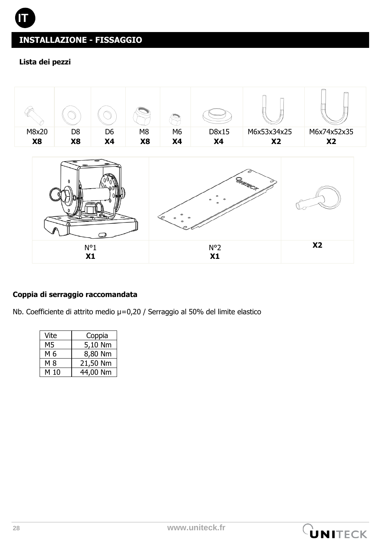### **Lista dei pezzi**





### **Coppia di serraggio raccomandata**

Nb. Coefficiente di attrito medio  $\mu$ =0,20 / Serraggio al 50% del limite elastico

| Vite | Coppia   |
|------|----------|
| M5   | 5,10 Nm  |
| M 6  | 8,80 Nm  |
| M 8  | 21,50 Nm |
| M 10 | 44,00 Nm |

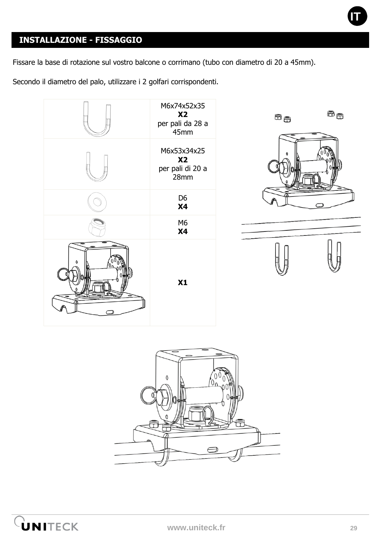

Fissare la base di rotazione sul vostro balcone o corrimano (tubo con diametro di 20 a 45mm).

Secondo il diametro del palo, utilizzare i 2 golfari corrispondenti.







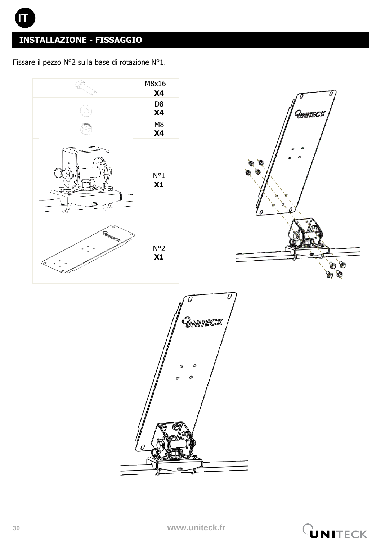Fissare il pezzo N°2 sulla base di rotazione N°1.



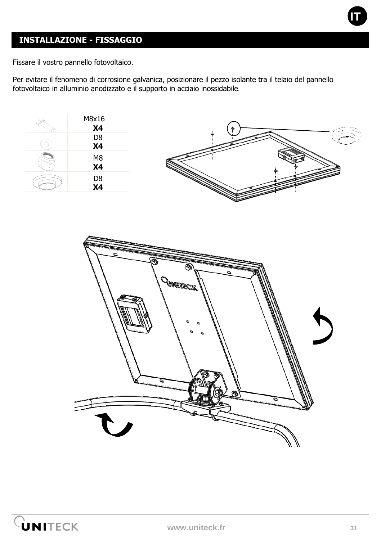

Fissare il vostro pannello fotovoltaico.

Per evitare il fenomeno di corrosione galvanica, posizionare il pezzo isolante tra il telaio del pannello fotovoltaico in alluminio anodizzato e il supporto in acciaio inossidabile**.**



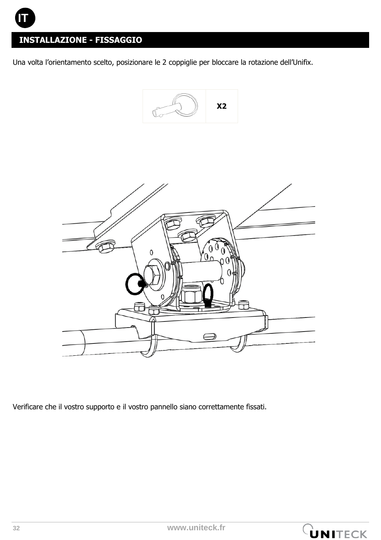Una volta l'orientamento scelto, posizionare le 2 coppiglie per bloccare la rotazione dell'Unifix.





Verificare che il vostro supporto e il vostro pannello siano correttamente fissati.